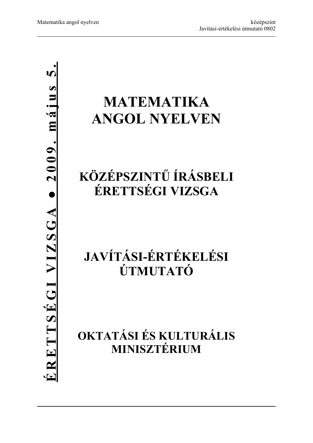**● 2009. május 5.**ERETTSÉGI VIZSGA • 2009. május **ÉRETTSÉGI VIZSGA** 

# **MATEMATIKA ANGOL NYELVEN**

## **KÖZÉPSZINTŰ ÍRÁSBELI ÉRETTSÉGI VIZSGA**

## **JAVÍTÁSI-ÉRTÉKELÉSI ÚTMUTATÓ**

**OKTATÁSI ÉS KULTURÁLIS MINISZTÉRIUM**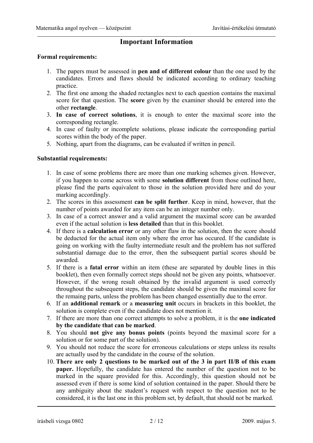### **Important Information**

#### **Formal requirements:**

- 1. The papers must be assessed in **pen and of different colour** than the one used by the candidates. Errors and flaws should be indicated according to ordinary teaching practice.
- 2. The first one among the shaded rectangles next to each question contains the maximal score for that question. The **score** given by the examiner should be entered into the other **rectangle**.
- 3. **In case of correct solutions**, it is enough to enter the maximal score into the corresponding rectangle.
- 4. In case of faulty or incomplete solutions, please indicate the corresponding partial scores within the body of the paper.
- 5. Nothing, apart from the diagrams, can be evaluated if written in pencil.

### **Substantial requirements:**

- 1. In case of some problems there are more than one marking schemes given. However, if you happen to come across with some **solution different** from those outlined here, please find the parts equivalent to those in the solution provided here and do your marking accordingly.
- 2. The scores in this assessment **can be split further**. Keep in mind, however, that the number of points awarded for any item can be an integer number only.
- 3. In case of a correct answer and a valid argument the maximal score can be awarded even if the actual solution is **less detailed** than that in this booklet.
- 4. If there is a **calculation error** or any other flaw in the solution, then the score should be deducted for the actual item only where the error has occured. If the candidate is going on working with the faulty intermediate result and the problem has not suffered substantial damage due to the error, then the subsequent partial scores should be awarded.
- 5. If there is a **fatal error** within an item (these are separated by double lines in this booklet), then even formally correct steps should not be given any points, whatsoever. However, if the wrong result obtained by the invalid argument is used correctly throughout the subsequent steps, the candidate should be given the maximal score for the remaing parts, unless the problem has been changed essentially due to the error.
- 6. If an **additional remark** or a **measuring unit** occurs in brackets in this booklet, the solution is complete even if the candidate does not mention it.
- 7. If there are more than one correct attempts to solve a problem, it is the **one indicated by the candidate that can be marked**.
- 8. You should **not give any bonus points** (points beyond the maximal score for a solution or for some part of the solution).
- 9. You should not reduce the score for erroneous calculations or steps unless its results are actually used by the candidate in the course of the solution.
- 10. **There are only 2 questions to be marked out of the 3 in part II/B of this exam paper.** Hopefully, the candidate has entered the number of the question not to be marked in the square provided for this. Accordingly, this question should not be assessed even if there is some kind of solution contained in the paper. Should there be any ambiguity about the student's request with respect to the question not to be considered, it is the last one in this problem set, by default, that should not be marked.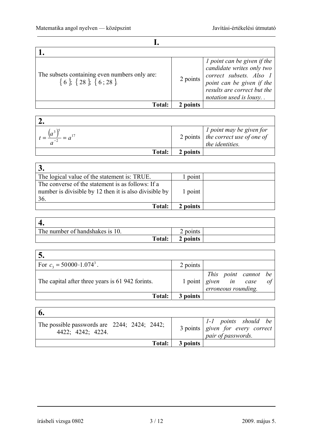| The subsets containing even numbers only are:<br>$\{6\}$ , $\{28\}$ , $\{6;28\}$ | 2 points | <i>l</i> point can be given if the<br>candidate writes only two<br>correct subsets. Also 1<br>point can be given if the<br>results are correct but the<br>notation used is lousy. . |
|----------------------------------------------------------------------------------|----------|-------------------------------------------------------------------------------------------------------------------------------------------------------------------------------------|
| <b>Total:</b>                                                                    | 2 points |                                                                                                                                                                                     |

|               |          | $2 points \begin{array}{c} 1 point may be given for \\ the correct use of one of \end{array}$<br>the identities. |
|---------------|----------|------------------------------------------------------------------------------------------------------------------|
| <b>Total:</b> | 2 points |                                                                                                                  |

| The logical value of the statement is: TRUE.                                                                       | point    |  |
|--------------------------------------------------------------------------------------------------------------------|----------|--|
| The converse of the statement is as follows: If a<br>number is divisible by 12 then it is also divisible by<br>36. | 1 point  |  |
| <b>Total:</b>                                                                                                      | 2 points |  |

| The number of handshakes is 10. | 2 points |  |
|---------------------------------|----------|--|
| Total:                          | 2 points |  |

| C.                                              |          |  |                                                                                                                                                           |  |
|-------------------------------------------------|----------|--|-----------------------------------------------------------------------------------------------------------------------------------------------------------|--|
| For $c_3 = 50000 \cdot 1.074^3$ .               | 2 points |  |                                                                                                                                                           |  |
| The capital after three years is 61 942 formts. |          |  | $\begin{array}{c cc} \text{1 point} & \text{1 point} & \text{1 point} \\ \text{given} & \text{in} & \text{case} \\ \text{eroneous rounding.} \end{array}$ |  |
| Total:                                          | 3 points |  |                                                                                                                                                           |  |

| $\mathbf{0}$                                                      |          |                                                                                                                                                                                                            |
|-------------------------------------------------------------------|----------|------------------------------------------------------------------------------------------------------------------------------------------------------------------------------------------------------------|
| The possible passwords are 2244; 2424; 2442;<br>4422; 4242; 4224. |          | $\begin{array}{c cc} 3 \text{ points} & 1-1 & \text{points} & \text{should} & \text{be} \\ 3 \text{ points} & \text{given} & \text{for} & \text{every} & \text{correct} \end{array}$<br>pair of passwords. |
| Total:                                                            | 3 points |                                                                                                                                                                                                            |

 $\mathbf{r}$ 

ä

írásbeli vizsga 0802 3 / 12 2009. május 5.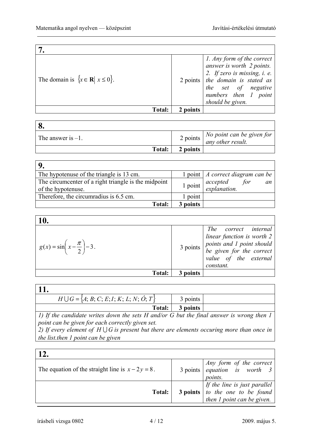| The domain is $\{x \in \mathbb{R} \mid x \leq 0\}.$ |          | 1. Any form of the correct<br>answer is worth 2 points.<br>2. If zero is missing, $i$ . e.<br>2 points the domain is stated as<br>the set of negative<br>numbers then 1 point<br>should be given. |
|-----------------------------------------------------|----------|---------------------------------------------------------------------------------------------------------------------------------------------------------------------------------------------------|
| <b>Total:</b>                                       | 2 points |                                                                                                                                                                                                   |

| The answer is $-1$ . |          | 2 points $\begin{vmatrix} No & point & can & be & given & for \\ any & other & result. \end{vmatrix}$ |
|----------------------|----------|-------------------------------------------------------------------------------------------------------|
| Total:               | 2 points |                                                                                                       |

| The hypotenuse of the triangle is 13 cm.             |           | 1 point $\vert A$ correct diagram can be      |
|------------------------------------------------------|-----------|-----------------------------------------------|
| The circumcenter of a right triangle is the midpoint | $1$ point | $\vert$ accepted<br>explanation.<br>for<br>an |
| of the hypotenuse.                                   |           |                                               |
| Therefore, the circumradius is 6.5 cm.               | point     |                                               |
| <b>Total:</b>                                        | 3 points  |                                               |

| <b>10.</b>                                        |          |                                                                 |
|---------------------------------------------------|----------|-----------------------------------------------------------------|
| $g(x) = \sin\left(x - \frac{\pi}{2}\right) - 3$ . |          | The correct internal<br>linear function is worth 2<br>constant. |
| <b>Total:</b>                                     | 3 points |                                                                 |

| $H \cup G = \{A; B; C; E; I; K; L; N; O; T\}$                                            | 3 points |  |
|------------------------------------------------------------------------------------------|----------|--|
| <b>Total:</b>                                                                            | 3 points |  |
| 1) If the candidate writes down the sets H and/or G but the final answer is wrong then 1 |          |  |

*point can be given for each correctly given set. 2) If every element of*  $H \cup G$  *is present but there are elements occuring more than once in* 

*the list.then 1 point can be given* 

| The equation of the straight line is $x - 2y = 8$ . | $\begin{array}{c cc}\n3 \text{ points} & \text{Any form of the correct} \\ 8 \text{ points} & \text{equation} & \text{is} & \text{worth} \\ \end{array}$<br>points. |
|-----------------------------------------------------|---------------------------------------------------------------------------------------------------------------------------------------------------------------------|
| Total:                                              | $\begin{array}{c c c c c} & \text{if the line is just parallel} \\ \text{3 points} & \text{to the one to be found} \end{array}$<br>then $I$ point can be given.     |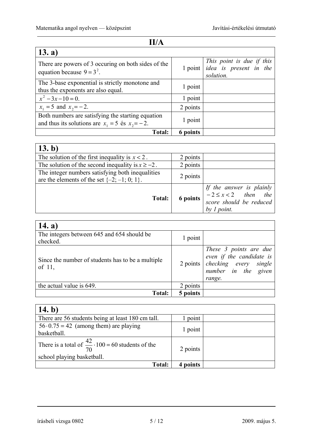| II/A                                                                                                      |          |                                                                                          |  |
|-----------------------------------------------------------------------------------------------------------|----------|------------------------------------------------------------------------------------------|--|
| 13. a)                                                                                                    |          |                                                                                          |  |
| There are powers of 3 occuring on both sides of the<br>equation because $9 = 3^2$ .                       |          | This point is due if this<br>$1$ point <i>idea</i> is <i>present</i> in the<br>solution. |  |
| The 3-base exponential is strictly monotone and<br>thus the exponents are also equal.                     | 1 point  |                                                                                          |  |
| $x^2-3x-10=0$ .                                                                                           | 1 point  |                                                                                          |  |
| $x_1 = 5$ and $x_2 = -2$ .                                                                                | 2 points |                                                                                          |  |
| Both numbers are satisfying the starting equation<br>and thus its solutions are $x_1 = 5$ és $x_2 = -2$ . | 1 point  |                                                                                          |  |
| <b>Total:</b>                                                                                             | 6 points |                                                                                          |  |

| 13. b)                                                                                               |          |                                                                                                                                                                                                                        |
|------------------------------------------------------------------------------------------------------|----------|------------------------------------------------------------------------------------------------------------------------------------------------------------------------------------------------------------------------|
| The solution of the first inequality is $x < 2$ .                                                    | 2 points |                                                                                                                                                                                                                        |
| The solution of the second inequality is $x \ge -2$ .                                                | 2 points |                                                                                                                                                                                                                        |
| The integer numbers satisfying both inequalities<br>are the elements of the set $\{-2, -1, 0, 1\}$ . | 2 points |                                                                                                                                                                                                                        |
| <b>Total:</b>                                                                                        |          | <b>Solution</b> If the answer is plainly<br><b>6 points</b> $\begin{vmatrix} -2 \le x < 2 & \text{then} & \text{the} \\ \text{score should be reduced} & \text{product} & \text{order} \end{vmatrix}$<br>by $l$ point. |

| 14. a)                                                      |          |                                                                                                                                 |
|-------------------------------------------------------------|----------|---------------------------------------------------------------------------------------------------------------------------------|
| The integers between 645 and 654 should be<br>checked.      | 1 point  |                                                                                                                                 |
| Since the number of students has to be a multiple<br>of 11, |          | These 3 points are due<br>even if the candidate is<br>$2 \text{ points}$ checking every single<br>number in the given<br>range. |
| the actual value is 649.                                    | 2 points |                                                                                                                                 |
| Total:                                                      | 5 points |                                                                                                                                 |

| 14. b)                                                                                           |          |  |
|--------------------------------------------------------------------------------------------------|----------|--|
| There are 56 students being at least 180 cm tall.                                                | point    |  |
| $56 \cdot 0.75 = 42$ (among them) are playing<br>basketball.                                     | 1 point  |  |
| There is a total of $\frac{42}{70} \cdot 100 = 60$ students of the<br>school playing basketball. | 2 points |  |
| Total:                                                                                           | 4 points |  |

írásbeli vizsga 0802 5 / 12 2009. május 5.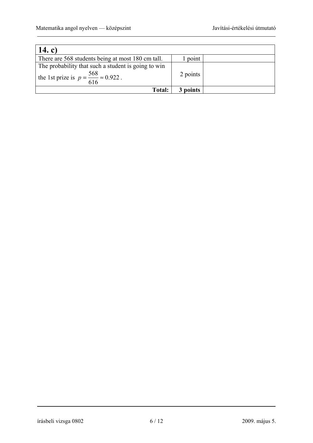| 14. c)                                                                                                        |          |  |
|---------------------------------------------------------------------------------------------------------------|----------|--|
| There are 568 students being at most 180 cm tall.                                                             | point    |  |
| The probability that such a student is going to win<br>the 1st prize is $p = \frac{568}{616} \approx 0.922$ . | 2 points |  |
| <b>Total:</b>                                                                                                 | 3 points |  |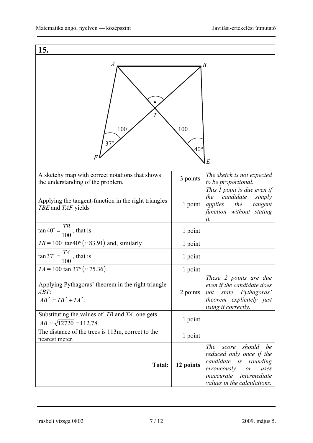| 15.                                                                                       |                     |                                                                                                                                                                                       |
|-------------------------------------------------------------------------------------------|---------------------|---------------------------------------------------------------------------------------------------------------------------------------------------------------------------------------|
| A<br>100<br>$37^\circ$                                                                    | 100<br>$40^{\circ}$ | В<br>E                                                                                                                                                                                |
| A sketchy map with correct notations that shows<br>the understanding of the problem.      | 3 points            | The sketch is not expected<br>to be proportional.                                                                                                                                     |
| Applying the tangent-function in the right triangles<br>TBE and TAF yields                | 1 point             | This 1 point is due even if<br>candidate<br>the<br>simply<br>applies the<br>tangent<br>function without stating<br>it.                                                                |
| $\tan 40^\circ = \frac{TB}{100}$ , that is                                                | 1 point             |                                                                                                                                                                                       |
| $TB = 100 \cdot \tan 40^{\circ} (\approx 83.91)$ and, similarly                           | 1 point             |                                                                                                                                                                                       |
| $\tan 37^\circ = \frac{T A}{100}$ , that is                                               | 1 point             |                                                                                                                                                                                       |
| $TA = 100 \cdot \tan 37^{\circ} (\approx 75.36).$                                         | 1 point             |                                                                                                                                                                                       |
| Applying Pythagoras' theorem in the right triangle<br>ABT:<br>$AB^2 = TB^2 + TA^2$ .      | 2 points            | These 2 points are due<br>even if the candidate does<br>Pythagoras'<br>state<br>not<br>theorem explicitely just<br>using it correctly.                                                |
| Substituting the values of $TB$ and $TA$ one gets<br>$AB \approx \sqrt{12720} = 112.78$ . | 1 point             |                                                                                                                                                                                       |
| The distance of the trees is 113m, correct to the<br>nearest meter.                       | 1 point             |                                                                                                                                                                                       |
| <b>Total:</b>                                                                             | 12 points           | should<br><i>The</i><br>score<br>be<br>reduced only once if the<br>candidate<br>is rounding<br>erroneously<br>uses<br>or<br>intermediate<br>inaccurate<br>values in the calculations. |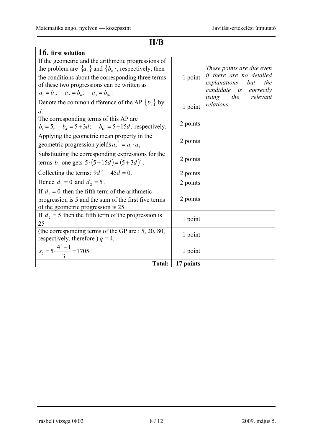| II/B                                                                                                                                                                                                                                                                     |           |                                                                                                               |  |
|--------------------------------------------------------------------------------------------------------------------------------------------------------------------------------------------------------------------------------------------------------------------------|-----------|---------------------------------------------------------------------------------------------------------------|--|
| 16. first solution                                                                                                                                                                                                                                                       |           |                                                                                                               |  |
| If the geometric and the arithmetic progressions of<br>the problem are $\{a_n\}$ and $\{b_n\}$ , respectively, then<br>the conditions about the corresponding three terms<br>of these two progressions can be written as<br>$a_1 = b_1$ ; $a_2 = b_4$ ; $a_3 = b_{16}$ . | 1 point   | These points are due even<br>if there are no detailed<br>explanations<br>but<br>the<br>candidate is correctly |  |
| Denote the common difference of the AP ${b_n}$ by<br>$d$ .                                                                                                                                                                                                               | 1 point   | using the relevant<br>relations.                                                                              |  |
| The corresponding terms of this AP are<br>$b_1 = 5$ ; $b_4 = 5 + 3d$ ; $b_{16} = 5 + 15d$ , respectively.                                                                                                                                                                | 2 points  |                                                                                                               |  |
| Applying the geometric mean property in the<br>geometric progression yields $a_2^2 = a_1 \cdot a_3$                                                                                                                                                                      | 2 points  |                                                                                                               |  |
| Substituting the corresponding expressions for the<br>terms $b_i$ one gets $5 \cdot (5 + 15d) = (5 + 3d)^2$ .                                                                                                                                                            | 2 points  |                                                                                                               |  |
| Collecting the terms: $9d^2 - 45d = 0$ .                                                                                                                                                                                                                                 | 2 points  |                                                                                                               |  |
| Hence $d_1 = 0$ and $d_2 = 5$ .                                                                                                                                                                                                                                          | 2 points  |                                                                                                               |  |
| If $d_1 = 0$ then the fifth term of the arithmetic<br>progression is 5 and the sum of the first five terms<br>of the geometric progression is 25.                                                                                                                        | 2 points  |                                                                                                               |  |
| If $d_2 = 5$ then the fifth term of the progression is<br>25                                                                                                                                                                                                             | 1 point   |                                                                                                               |  |
| (the corresponding terms of the GP are $: 5, 20, 80,$<br>respectively, therefore $q = 4$ .                                                                                                                                                                               | 1 point   |                                                                                                               |  |
| $s_5 = 5 \cdot \frac{4^5 - 1}{3} = 1705$ .                                                                                                                                                                                                                               | 1 point   |                                                                                                               |  |
| <b>Total:</b>                                                                                                                                                                                                                                                            | 17 points |                                                                                                               |  |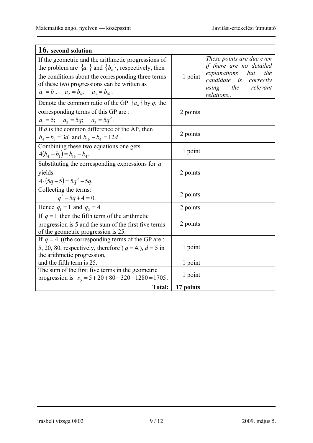| 16. second solution                                                                                                                                                                                                                                                      |           |                                                                                                                                                               |
|--------------------------------------------------------------------------------------------------------------------------------------------------------------------------------------------------------------------------------------------------------------------------|-----------|---------------------------------------------------------------------------------------------------------------------------------------------------------------|
| If the geometric and the arithmetic progressions of<br>the problem are $\{a_n\}$ and $\{b_n\}$ , respectively, then<br>the conditions about the corresponding three terms<br>of these two progressions can be written as<br>$a_1 = b_1$ ; $a_2 = b_4$ ; $a_3 = b_{16}$ . | 1 point   | These points are due even<br>if there are no detailed<br>explanations<br>but<br>the<br>candidate<br><i>is</i> correctly<br>the relevant<br>using<br>relations |
| Denote the common ratio of the GP $\{a_n\}$ by q, the<br>corresponding terms of this GP are :<br>$a_1 = 5$ ; $a_2 = 5q$ ; $a_3 = 5q^2$ .                                                                                                                                 | 2 points  |                                                                                                                                                               |
| If $d$ is the common difference of the AP, then<br>$b_4 - b_1 = 3d$ and $b_{16} - b_4 = 12d$ .                                                                                                                                                                           | 2 points  |                                                                                                                                                               |
| Combining these two equations one gets<br>$4(b_4-b_1)=b_{16}-b_4$ .                                                                                                                                                                                                      | 1 point   |                                                                                                                                                               |
| Substituting the corresponding expressions for $a_i$<br>yields<br>$4 \cdot (5q - 5) = 5q^2 - 5q$ .                                                                                                                                                                       | 2 points  |                                                                                                                                                               |
| Collecting the terms:<br>$q^2 - 5q + 4 = 0$ .                                                                                                                                                                                                                            | 2 points  |                                                                                                                                                               |
| Hence $q_1 = 1$ and $q_2 = 4$ .                                                                                                                                                                                                                                          | 2 points  |                                                                                                                                                               |
| If $q = 1$ then the fifth term of the arithmetic<br>progression is 5 and the sum of the first five terms<br>of the geometric progression is 25.                                                                                                                          | 2 points  |                                                                                                                                                               |
| If $q = 4$ ((the corresponding terms of the GP are :<br>5, 20, 80, respectively, therefore $q = 4$ .), $d = 5$ in<br>the arithmetic progression,                                                                                                                         | 1 point   |                                                                                                                                                               |
| and the fifth term is 25                                                                                                                                                                                                                                                 | 1 point   |                                                                                                                                                               |
| The sum of the first five terms in the geometric<br>progression is $s_5 = 5 + 20 + 80 + 320 + 1280 = 1705$ .                                                                                                                                                             | 1 point   |                                                                                                                                                               |
| <b>Total:</b>                                                                                                                                                                                                                                                            | 17 points |                                                                                                                                                               |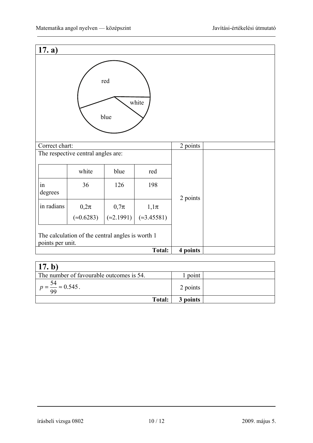| 17. a)           |                                                  |                    |               |          |  |
|------------------|--------------------------------------------------|--------------------|---------------|----------|--|
|                  |                                                  | red<br>blue        | white         |          |  |
| Correct chart:   |                                                  |                    |               | 2 points |  |
|                  | The respective central angles are:               |                    |               |          |  |
|                  | white                                            | blue               | red           |          |  |
| in<br>degrees    | 36                                               | 126                | 198           | 2 points |  |
| in radians       | $0,2\pi$                                         | $0,7\pi$           | $1,1\pi$      |          |  |
|                  | $(*0.6283)$                                      | $(\approx 2.1991)$ | $(*3.45581)$  |          |  |
| points per unit. | The calculation of the central angles is worth 1 |                    |               |          |  |
|                  |                                                  |                    | <b>Total:</b> | 4 points |  |
|                  |                                                  |                    |               |          |  |

| 17. b)                                   |          |  |
|------------------------------------------|----------|--|
| The number of favourable outcomes is 54. | 1 point  |  |
| $p = \frac{54}{99} \approx 0.545$ .      | 2 points |  |
| Total:                                   | 3 points |  |

írásbeli vizsga 0802 10 / 12 2009. május 5.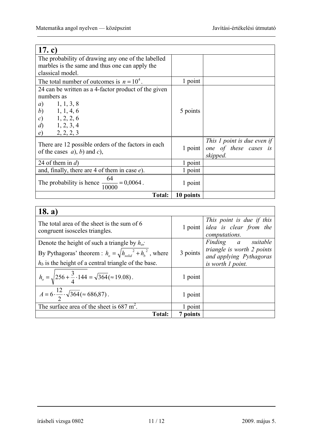| 17. c)                                                                               |           |                                                                  |
|--------------------------------------------------------------------------------------|-----------|------------------------------------------------------------------|
| The probability of drawing any one of the labelled                                   |           |                                                                  |
| marbles is the same and thus one can apply the                                       |           |                                                                  |
| classical model.                                                                     |           |                                                                  |
| The total number of outcomes is $n = 10^4$ .                                         | 1 point   |                                                                  |
| 24 can be written as a 4-factor product of the given                                 |           |                                                                  |
| numbers as                                                                           |           |                                                                  |
| 1, 1, 3, 8<br>a)                                                                     |           |                                                                  |
| (b)<br>1, 1, 4, 6                                                                    | 5 points  |                                                                  |
| 1, 2, 2, 6<br>$\mathcal{C}$                                                          |           |                                                                  |
| 1, 2, 3, 4<br>$\overline{d}$                                                         |           |                                                                  |
| 2, 2, 2, 3<br>e)                                                                     |           |                                                                  |
| There are 12 possible orders of the factors in each<br>of the cases $a$ , b) and c), | 1 point   | This 1 point is due even if<br>one of these cases is<br>skipped. |
| 24 of them in $d$ )                                                                  | 1 point   |                                                                  |
| and, finally, there are 4 of them in case $e$ ).                                     | 1 point   |                                                                  |
| The probability is hence $\frac{64}{10000} = 0,0064$ .<br>10000                      | 1 point   |                                                                  |
| <b>Total:</b>                                                                        | 10 points |                                                                  |

| 18. a)                                                                        |          |                                                                              |
|-------------------------------------------------------------------------------|----------|------------------------------------------------------------------------------|
| The total area of the sheet is the sum of 6<br>congruent isosceles triangles. |          | This point is due if this<br>1 point idea is clear from the<br>computations. |
| Denote the height of such a triangle by $h_o$ ;                               |          | Finding a suitable                                                           |
| By Pythagoras' theorem : $h_o = \sqrt{h_{solid}^2 + h_b^2}$ , where           | 3 points | triangle is worth 2 points<br>and applying Pythagoras                        |
| $h_b$ is the height of a central triangle of the base.                        |          | is worth 1 point.                                                            |
| $h_o = \sqrt{256 + \frac{3}{4} \cdot 144} = \sqrt{364} (\approx 19.08)$ .     | 1 point  |                                                                              |
| $A = 6 \cdot \frac{12}{2} \cdot \sqrt{364} (\approx 686,87).$                 | 1 point  |                                                                              |
| The surface area of the sheet is 687 m <sup>2</sup> .                         | 1 point  |                                                                              |
| <b>Total:</b>                                                                 | 7 points |                                                                              |